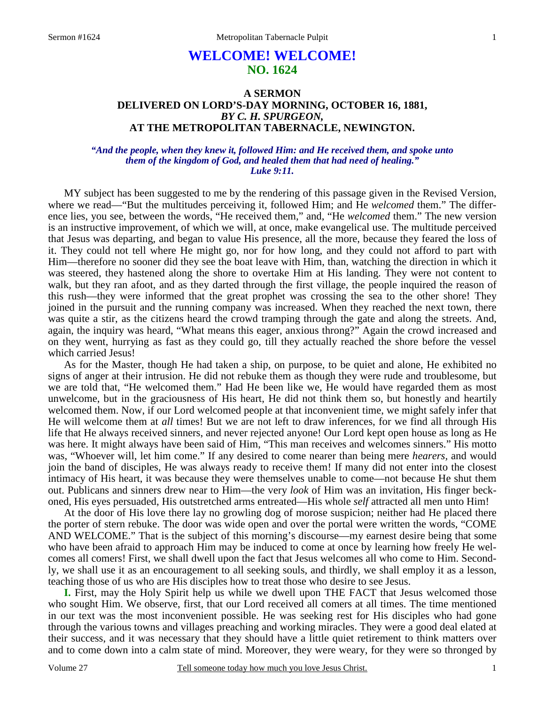# **WELCOME! WELCOME! NO. 1624**

# **A SERMON DELIVERED ON LORD'S-DAY MORNING, OCTOBER 16, 1881,**  *BY C. H. SPURGEON,*  **AT THE METROPOLITAN TABERNACLE, NEWINGTON.**

### *"And the people, when they knew it, followed Him: and He received them, and spoke unto them of the kingdom of God, and healed them that had need of healing." Luke 9:11.*

MY subject has been suggested to me by the rendering of this passage given in the Revised Version, where we read—"But the multitudes perceiving it, followed Him; and He *welcomed* them." The difference lies, you see, between the words, "He received them," and, "He *welcomed* them." The new version is an instructive improvement, of which we will, at once, make evangelical use. The multitude perceived that Jesus was departing, and began to value His presence, all the more, because they feared the loss of it. They could not tell where He might go, nor for how long, and they could not afford to part with Him—therefore no sooner did they see the boat leave with Him, than, watching the direction in which it was steered, they hastened along the shore to overtake Him at His landing. They were not content to walk, but they ran afoot, and as they darted through the first village, the people inquired the reason of this rush—they were informed that the great prophet was crossing the sea to the other shore! They joined in the pursuit and the running company was increased. When they reached the next town, there was quite a stir, as the citizens heard the crowd tramping through the gate and along the streets. And, again, the inquiry was heard, "What means this eager, anxious throng?" Again the crowd increased and on they went, hurrying as fast as they could go, till they actually reached the shore before the vessel which carried Jesus!

 As for the Master, though He had taken a ship, on purpose, to be quiet and alone, He exhibited no signs of anger at their intrusion. He did not rebuke them as though they were rude and troublesome, but we are told that, "He welcomed them." Had He been like we, He would have regarded them as most unwelcome, but in the graciousness of His heart, He did not think them so, but honestly and heartily welcomed them. Now, if our Lord welcomed people at that inconvenient time, we might safely infer that He will welcome them at *all* times! But we are not left to draw inferences, for we find all through His life that He always received sinners, and never rejected anyone! Our Lord kept open house as long as He was here. It might always have been said of Him, "This man receives and welcomes sinners." His motto was, "Whoever will, let him come." If any desired to come nearer than being mere *hearers,* and would join the band of disciples, He was always ready to receive them! If many did not enter into the closest intimacy of His heart, it was because they were themselves unable to come—not because He shut them out. Publicans and sinners drew near to Him—the very *look* of Him was an invitation, His finger beckoned, His eyes persuaded, His outstretched arms entreated—His whole *self* attracted all men unto Him!

 At the door of His love there lay no growling dog of morose suspicion; neither had He placed there the porter of stern rebuke. The door was wide open and over the portal were written the words, "COME AND WELCOME." That is the subject of this morning's discourse—my earnest desire being that some who have been afraid to approach Him may be induced to come at once by learning how freely He welcomes all comers! First, we shall dwell upon the fact that Jesus welcomes all who come to Him. Secondly, we shall use it as an encouragement to all seeking souls, and thirdly, we shall employ it as a lesson, teaching those of us who are His disciples how to treat those who desire to see Jesus.

**I.** First, may the Holy Spirit help us while we dwell upon THE FACT that Jesus welcomed those who sought Him. We observe, first, that our Lord received all comers at all times. The time mentioned in our text was the most inconvenient possible. He was seeking rest for His disciples who had gone through the various towns and villages preaching and working miracles. They were a good deal elated at their success, and it was necessary that they should have a little quiet retirement to think matters over and to come down into a calm state of mind. Moreover, they were weary, for they were so thronged by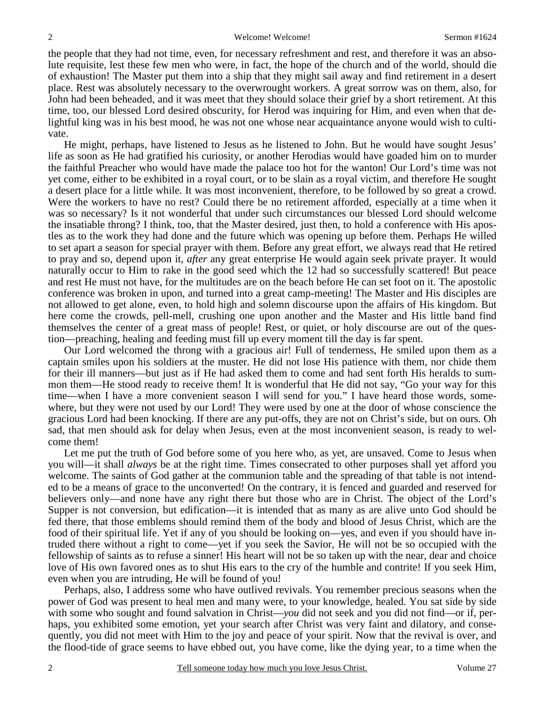the people that they had not time, even, for necessary refreshment and rest, and therefore it was an absolute requisite, lest these few men who were, in fact, the hope of the church and of the world, should die of exhaustion! The Master put them into a ship that they might sail away and find retirement in a desert place. Rest was absolutely necessary to the overwrought workers. A great sorrow was on them, also, for John had been beheaded, and it was meet that they should solace their grief by a short retirement. At this time, too, our blessed Lord desired obscurity, for Herod was inquiring for Him, and even when that delightful king was in his best mood, he was not one whose near acquaintance anyone would wish to cultivate.

 He might, perhaps, have listened to Jesus as he listened to John. But he would have sought Jesus' life as soon as He had gratified his curiosity, or another Herodias would have goaded him on to murder the faithful Preacher who would have made the palace too hot for the wanton! Our Lord's time was not yet come, either to be exhibited in a royal court, or to be slain as a royal victim, and therefore He sought a desert place for a little while. It was most inconvenient, therefore, to be followed by so great a crowd. Were the workers to have no rest? Could there be no retirement afforded, especially at a time when it was so necessary? Is it not wonderful that under such circumstances our blessed Lord should welcome the insatiable throng? I think, too, that the Master desired, just then, to hold a conference with His apostles as to the work they had done and the future which was opening up before them. Perhaps He willed to set apart a season for special prayer with them. Before any great effort, we always read that He retired to pray and so, depend upon it, *after* any great enterprise He would again seek private prayer. It would naturally occur to Him to rake in the good seed which the 12 had so successfully scattered! But peace and rest He must not have, for the multitudes are on the beach before He can set foot on it. The apostolic conference was broken in upon, and turned into a great camp-meeting! The Master and His disciples are not allowed to get alone, even, to hold high and solemn discourse upon the affairs of His kingdom. But here come the crowds, pell-mell, crushing one upon another and the Master and His little band find themselves the center of a great mass of people! Rest, or quiet, or holy discourse are out of the question—preaching, healing and feeding must fill up every moment till the day is far spent.

 Our Lord welcomed the throng with a gracious air! Full of tenderness, He smiled upon them as a captain smiles upon his soldiers at the muster. He did not lose His patience with them, nor chide them for their ill manners—but just as if He had asked them to come and had sent forth His heralds to summon them—He stood ready to receive them! It is wonderful that He did not say, "Go your way for this time—when I have a more convenient season I will send for you." I have heard those words, somewhere, but they were not used by our Lord! They were used by one at the door of whose conscience the gracious Lord had been knocking. If there are any put-offs, they are not on Christ's side, but on ours. Oh sad, that men should ask for delay when Jesus, even at the most inconvenient season, is ready to welcome them!

 Let me put the truth of God before some of you here who, as yet, are unsaved. Come to Jesus when you will—it shall *always* be at the right time. Times consecrated to other purposes shall yet afford you welcome. The saints of God gather at the communion table and the spreading of that table is not intended to be a means of grace to the unconverted! On the contrary, it is fenced and guarded and reserved for believers only—and none have any right there but those who are in Christ. The object of the Lord's Supper is not conversion, but edification—it is intended that as many as are alive unto God should be fed there, that those emblems should remind them of the body and blood of Jesus Christ, which are the food of their spiritual life. Yet if any of you should be looking on—yes, and even if you should have intruded there without a right to come—yet if you seek the Savior, He will not be so occupied with the fellowship of saints as to refuse a sinner! His heart will not be so taken up with the near, dear and choice love of His own favored ones as to shut His ears to the cry of the humble and contrite! If you seek Him, even when you are intruding, He will be found of you!

 Perhaps, also, I address some who have outlived revivals. You remember precious seasons when the power of God was present to heal men and many were, to your knowledge, healed. You sat side by side with some who sought and found salvation in Christ—*you* did not seek and you did not find—or if, perhaps, you exhibited some emotion, yet your search after Christ was very faint and dilatory, and consequently, you did not meet with Him to the joy and peace of your spirit. Now that the revival is over, and the flood-tide of grace seems to have ebbed out, you have come, like the dying year, to a time when the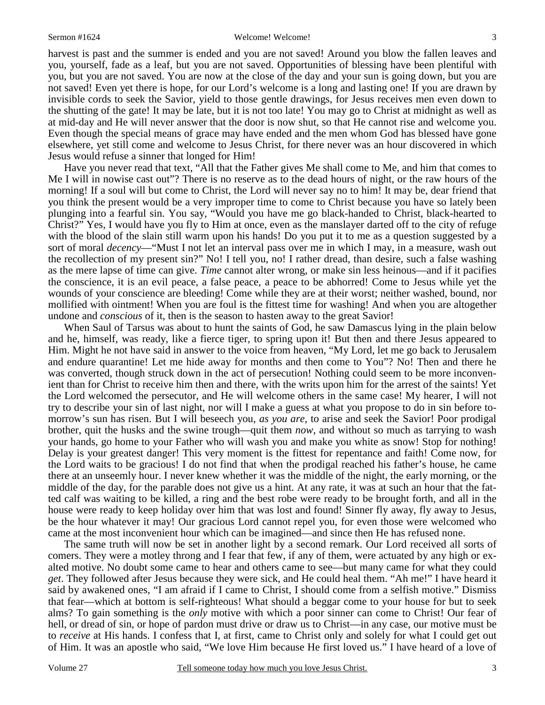harvest is past and the summer is ended and you are not saved! Around you blow the fallen leaves and you, yourself, fade as a leaf, but you are not saved. Opportunities of blessing have been plentiful with you, but you are not saved. You are now at the close of the day and your sun is going down, but you are not saved! Even yet there is hope, for our Lord's welcome is a long and lasting one! If you are drawn by invisible cords to seek the Savior, yield to those gentle drawings, for Jesus receives men even down to the shutting of the gate! It may be late, but it is not too late! You may go to Christ at midnight as well as at mid-day and He will never answer that the door is now shut, so that He cannot rise and welcome you. Even though the special means of grace may have ended and the men whom God has blessed have gone elsewhere, yet still come and welcome to Jesus Christ, for there never was an hour discovered in which Jesus would refuse a sinner that longed for Him!

 Have you never read that text, "All that the Father gives Me shall come to Me, and him that comes to Me I will in nowise cast out"? There is no reserve as to the dead hours of night, or the raw hours of the morning! If a soul will but come to Christ, the Lord will never say no to him! It may be, dear friend that you think the present would be a very improper time to come to Christ because you have so lately been plunging into a fearful sin. You say, "Would you have me go black-handed to Christ, black-hearted to Christ?" Yes, I would have you fly to Him at once, even as the manslayer darted off to the city of refuge with the blood of the slain still warm upon his hands! Do you put it to me as a question suggested by a sort of moral *decency*—"Must I not let an interval pass over me in which I may, in a measure, wash out the recollection of my present sin?" No! I tell you, no! I rather dread, than desire, such a false washing as the mere lapse of time can give. *Time* cannot alter wrong, or make sin less heinous—and if it pacifies the conscience, it is an evil peace, a false peace, a peace to be abhorred! Come to Jesus while yet the wounds of your conscience are bleeding! Come while they are at their worst; neither washed, bound, nor mollified with ointment! When you are foul is the fittest time for washing! And when you are altogether undone and *conscious* of it, then is the season to hasten away to the great Savior!

 When Saul of Tarsus was about to hunt the saints of God, he saw Damascus lying in the plain below and he, himself, was ready, like a fierce tiger, to spring upon it! But then and there Jesus appeared to Him. Might he not have said in answer to the voice from heaven, "My Lord, let me go back to Jerusalem and endure quarantine! Let me hide away for months and then come to You"? No! Then and there he was converted, though struck down in the act of persecution! Nothing could seem to be more inconvenient than for Christ to receive him then and there, with the writs upon him for the arrest of the saints! Yet the Lord welcomed the persecutor, and He will welcome others in the same case! My hearer, I will not try to describe your sin of last night, nor will I make a guess at what you propose to do in sin before tomorrow's sun has risen. But I will beseech you, *as you are,* to arise and seek the Savior! Poor prodigal brother, quit the husks and the swine trough—quit them *now,* and without so much as tarrying to wash your hands, go home to your Father who will wash you and make you white as snow! Stop for nothing! Delay is your greatest danger! This very moment is the fittest for repentance and faith! Come now, for the Lord waits to be gracious! I do not find that when the prodigal reached his father's house, he came there at an unseemly hour. I never knew whether it was the middle of the night, the early morning, or the middle of the day, for the parable does not give us a hint. At any rate, it was at such an hour that the fatted calf was waiting to be killed, a ring and the best robe were ready to be brought forth, and all in the house were ready to keep holiday over him that was lost and found! Sinner fly away, fly away to Jesus, be the hour whatever it may! Our gracious Lord cannot repel you, for even those were welcomed who came at the most inconvenient hour which can be imagined—and since then He has refused none.

 The same truth will now be set in another light by a second remark. Our Lord received all sorts of comers. They were a motley throng and I fear that few, if any of them, were actuated by any high or exalted motive. No doubt some came to hear and others came to see—but many came for what they could *get*. They followed after Jesus because they were sick, and He could heal them. "Ah me!" I have heard it said by awakened ones, "I am afraid if I came to Christ, I should come from a selfish motive." Dismiss that fear—which at bottom is self-righteous! What should a beggar come to your house for but to seek alms? To gain something is the *only* motive with which a poor sinner can come to Christ! Our fear of hell, or dread of sin, or hope of pardon must drive or draw us to Christ—in any case, our motive must be to *receive* at His hands. I confess that I, at first, came to Christ only and solely for what I could get out of Him. It was an apostle who said, "We love Him because He first loved us." I have heard of a love of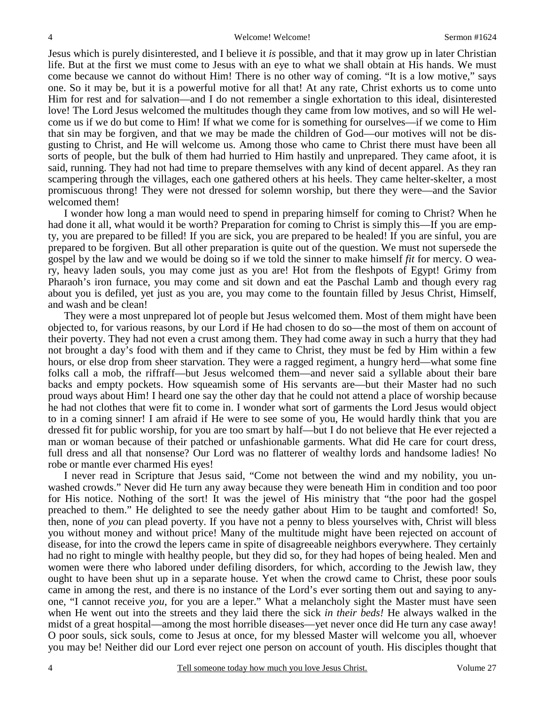Jesus which is purely disinterested, and I believe it *is* possible, and that it may grow up in later Christian life. But at the first we must come to Jesus with an eye to what we shall obtain at His hands. We must come because we cannot do without Him! There is no other way of coming. "It is a low motive," says one. So it may be, but it is a powerful motive for all that! At any rate, Christ exhorts us to come unto Him for rest and for salvation—and I do not remember a single exhortation to this ideal, disinterested love! The Lord Jesus welcomed the multitudes though they came from low motives, and so will He welcome us if we do but come to Him! If what we come for is something for ourselves—if we come to Him that sin may be forgiven, and that we may be made the children of God—our motives will not be disgusting to Christ, and He will welcome us. Among those who came to Christ there must have been all sorts of people, but the bulk of them had hurried to Him hastily and unprepared. They came afoot, it is said, running. They had not had time to prepare themselves with any kind of decent apparel. As they ran scampering through the villages, each one gathered others at his heels. They came helter-skelter, a most promiscuous throng! They were not dressed for solemn worship, but there they were—and the Savior welcomed them!

 I wonder how long a man would need to spend in preparing himself for coming to Christ? When he had done it all, what would it be worth? Preparation for coming to Christ is simply this—If you are empty, you are prepared to be filled! If you are sick, you are prepared to be healed! If you are sinful, you are prepared to be forgiven. But all other preparation is quite out of the question. We must not supersede the gospel by the law and we would be doing so if we told the sinner to make himself *fit* for mercy. O weary, heavy laden souls, you may come just as you are! Hot from the fleshpots of Egypt! Grimy from Pharaoh's iron furnace, you may come and sit down and eat the Paschal Lamb and though every rag about you is defiled, yet just as you are, you may come to the fountain filled by Jesus Christ, Himself, and wash and be clean!

 They were a most unprepared lot of people but Jesus welcomed them. Most of them might have been objected to, for various reasons, by our Lord if He had chosen to do so—the most of them on account of their poverty. They had not even a crust among them. They had come away in such a hurry that they had not brought a day's food with them and if they came to Christ, they must be fed by Him within a few hours, or else drop from sheer starvation. They were a ragged regiment, a hungry herd—what some fine folks call a mob, the riffraff—but Jesus welcomed them—and never said a syllable about their bare backs and empty pockets. How squeamish some of His servants are—but their Master had no such proud ways about Him! I heard one say the other day that he could not attend a place of worship because he had not clothes that were fit to come in. I wonder what sort of garments the Lord Jesus would object to in a coming sinner! I am afraid if He were to see some of you, He would hardly think that you are dressed fit for public worship, for you are too smart by half—but I do not believe that He ever rejected a man or woman because of their patched or unfashionable garments. What did He care for court dress, full dress and all that nonsense? Our Lord was no flatterer of wealthy lords and handsome ladies! No robe or mantle ever charmed His eyes!

 I never read in Scripture that Jesus said, "Come not between the wind and my nobility, you unwashed crowds." Never did He turn any away because they were beneath Him in condition and too poor for His notice. Nothing of the sort! It was the jewel of His ministry that "the poor had the gospel preached to them." He delighted to see the needy gather about Him to be taught and comforted! So, then, none of *you* can plead poverty. If you have not a penny to bless yourselves with, Christ will bless you without money and without price! Many of the multitude might have been rejected on account of disease, for into the crowd the lepers came in spite of disagreeable neighbors everywhere. They certainly had no right to mingle with healthy people, but they did so, for they had hopes of being healed. Men and women were there who labored under defiling disorders, for which, according to the Jewish law, they ought to have been shut up in a separate house. Yet when the crowd came to Christ, these poor souls came in among the rest, and there is no instance of the Lord's ever sorting them out and saying to anyone, "I cannot receive *you,* for you are a leper." What a melancholy sight the Master must have seen when He went out into the streets and they laid there the sick *in their beds!* He always walked in the midst of a great hospital—among the most horrible diseases—yet never once did He turn any case away! O poor souls, sick souls, come to Jesus at once, for my blessed Master will welcome you all, whoever you may be! Neither did our Lord ever reject one person on account of youth. His disciples thought that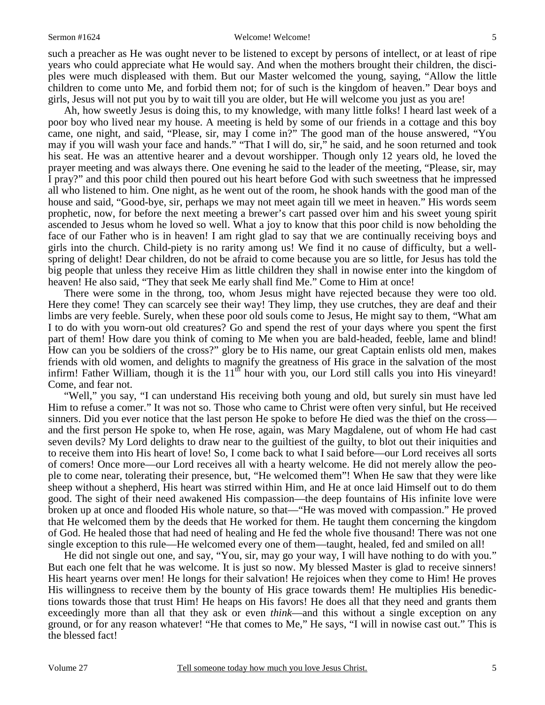#### Sermon #1624 Welcome! Welcome! Welcome!

such a preacher as He was ought never to be listened to except by persons of intellect, or at least of ripe years who could appreciate what He would say. And when the mothers brought their children, the disciples were much displeased with them. But our Master welcomed the young, saying, "Allow the little children to come unto Me, and forbid them not; for of such is the kingdom of heaven." Dear boys and girls, Jesus will not put you by to wait till you are older, but He will welcome you just as you are!

 Ah, how sweetly Jesus is doing this, to my knowledge, with many little folks! I heard last week of a poor boy who lived near my house. A meeting is held by some of our friends in a cottage and this boy came, one night, and said, "Please, sir, may I come in?" The good man of the house answered, "You may if you will wash your face and hands." "That I will do, sir," he said, and he soon returned and took his seat. He was an attentive hearer and a devout worshipper. Though only 12 years old, he loved the prayer meeting and was always there. One evening he said to the leader of the meeting, "Please, sir, may I pray?" and this poor child then poured out his heart before God with such sweetness that he impressed all who listened to him. One night, as he went out of the room, he shook hands with the good man of the house and said, "Good-bye, sir, perhaps we may not meet again till we meet in heaven." His words seem prophetic, now, for before the next meeting a brewer's cart passed over him and his sweet young spirit ascended to Jesus whom he loved so well. What a joy to know that this poor child is now beholding the face of our Father who is in heaven! I am right glad to say that we are continually receiving boys and girls into the church. Child-piety is no rarity among us! We find it no cause of difficulty, but a wellspring of delight! Dear children, do not be afraid to come because you are so little, for Jesus has told the big people that unless they receive Him as little children they shall in nowise enter into the kingdom of heaven! He also said, "They that seek Me early shall find Me." Come to Him at once!

 There were some in the throng, too, whom Jesus might have rejected because they were too old. Here they come! They can scarcely see their way! They limp, they use crutches, they are deaf and their limbs are very feeble. Surely, when these poor old souls come to Jesus, He might say to them, "What am I to do with you worn-out old creatures? Go and spend the rest of your days where you spent the first part of them! How dare you think of coming to Me when you are bald-headed, feeble, lame and blind! How can you be soldiers of the cross?" glory be to His name, our great Captain enlists old men, makes friends with old women, and delights to magnify the greatness of His grace in the salvation of the most infirm! Father William, though it is the  $11<sup>th</sup>$  hour with you, our Lord still calls you into His vineyard! Come, and fear not.

 "Well," you say, "I can understand His receiving both young and old, but surely sin must have led Him to refuse a comer." It was not so. Those who came to Christ were often very sinful, but He received sinners. Did you ever notice that the last person He spoke to before He died was the thief on the cross and the first person He spoke to, when He rose, again, was Mary Magdalene, out of whom He had cast seven devils? My Lord delights to draw near to the guiltiest of the guilty, to blot out their iniquities and to receive them into His heart of love! So, I come back to what I said before—our Lord receives all sorts of comers! Once more—our Lord receives all with a hearty welcome. He did not merely allow the people to come near, tolerating their presence, but, "He welcomed them"! When He saw that they were like sheep without a shepherd, His heart was stirred within Him, and He at once laid Himself out to do them good. The sight of their need awakened His compassion—the deep fountains of His infinite love were broken up at once and flooded His whole nature, so that—"He was moved with compassion." He proved that He welcomed them by the deeds that He worked for them. He taught them concerning the kingdom of God. He healed those that had need of healing and He fed the whole five thousand! There was not one single exception to this rule—He welcomed every one of them—taught, healed, fed and smiled on all!

 He did not single out one, and say, "You, sir, may go your way, I will have nothing to do with you." But each one felt that he was welcome. It is just so now. My blessed Master is glad to receive sinners! His heart yearns over men! He longs for their salvation! He rejoices when they come to Him! He proves His willingness to receive them by the bounty of His grace towards them! He multiplies His benedictions towards those that trust Him! He heaps on His favors! He does all that they need and grants them exceedingly more than all that they ask or even *think*—and this without a single exception on any ground, or for any reason whatever! "He that comes to Me," He says, "I will in nowise cast out." This is the blessed fact!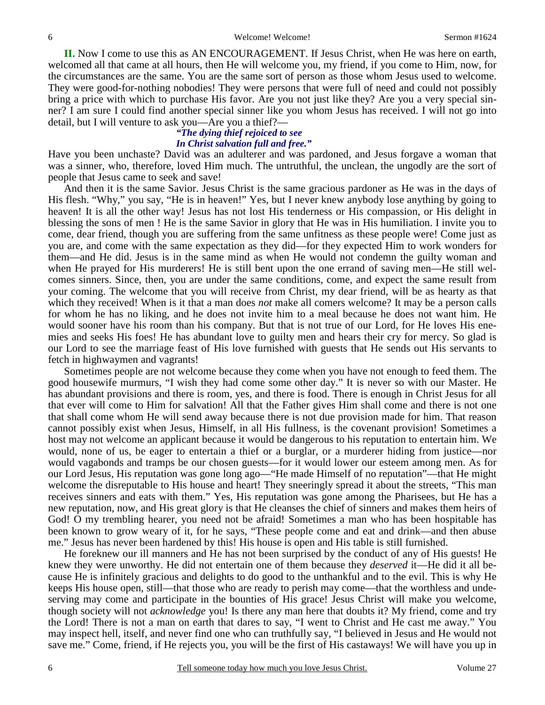**II.** Now I come to use this as AN ENCOURAGEMENT. If Jesus Christ, when He was here on earth, welcomed all that came at all hours, then He will welcome you, my friend, if you come to Him, now, for the circumstances are the same. You are the same sort of person as those whom Jesus used to welcome. They were good-for-nothing nobodies! They were persons that were full of need and could not possibly bring a price with which to purchase His favor. Are you not just like they? Are you a very special sinner? I am sure I could find another special sinner like you whom Jesus has received. I will not go into detail, but I will venture to ask you—Are you a thief?—

### *"The dying thief rejoiced to see In Christ salvation full and free."*

Have you been unchaste? David was an adulterer and was pardoned, and Jesus forgave a woman that was a sinner, who, therefore, loved Him much. The untruthful, the unclean, the ungodly are the sort of people that Jesus came to seek and save!

 And then it is the same Savior. Jesus Christ is the same gracious pardoner as He was in the days of His flesh. "Why," you say, "He is in heaven!" Yes, but I never knew anybody lose anything by going to heaven! It is all the other way! Jesus has not lost His tenderness or His compassion, or His delight in blessing the sons of men ! He is the same Savior in glory that He was in His humiliation. I invite you to come, dear friend, though you are suffering from the same unfitness as these people were! Come just as you are, and come with the same expectation as they did—for they expected Him to work wonders for them—and He did. Jesus is in the same mind as when He would not condemn the guilty woman and when He prayed for His murderers! He is still bent upon the one errand of saving men—He still welcomes sinners. Since, then, you are under the same conditions, come, and expect the same result from your coming. The welcome that you will receive from Christ, my dear friend, will be as hearty as that which they received! When is it that a man does *not* make all comers welcome? It may be a person calls for whom he has no liking, and he does not invite him to a meal because he does not want him. He would sooner have his room than his company. But that is not true of our Lord, for He loves His enemies and seeks His foes! He has abundant love to guilty men and hears their cry for mercy. So glad is our Lord to see the marriage feast of His love furnished with guests that He sends out His servants to fetch in highwaymen and vagrants!

 Sometimes people are not welcome because they come when you have not enough to feed them. The good housewife murmurs, "I wish they had come some other day." It is never so with our Master. He has abundant provisions and there is room, yes, and there is food. There is enough in Christ Jesus for all that ever will come to Him for salvation! All that the Father gives Him shall come and there is not one that shall come whom He will send away because there is not due provision made for him. That reason cannot possibly exist when Jesus, Himself, in all His fullness, is the covenant provision! Sometimes a host may not welcome an applicant because it would be dangerous to his reputation to entertain him. We would, none of us, be eager to entertain a thief or a burglar, or a murderer hiding from justice—nor would vagabonds and tramps be our chosen guests—for it would lower our esteem among men. As for our Lord Jesus, His reputation was gone long ago—"He made Himself of no reputation"—that He might welcome the disreputable to His house and heart! They sneeringly spread it about the streets, "This man receives sinners and eats with them." Yes, His reputation was gone among the Pharisees, but He has a new reputation, now, and His great glory is that He cleanses the chief of sinners and makes them heirs of God! O my trembling hearer, you need not be afraid! Sometimes a man who has been hospitable has been known to grow weary of it, for he says, "These people come and eat and drink—and then abuse me." Jesus has never been hardened by this! His house is open and His table is still furnished.

 He foreknew our ill manners and He has not been surprised by the conduct of any of His guests! He knew they were unworthy. He did not entertain one of them because they *deserved* it—He did it all because He is infinitely gracious and delights to do good to the unthankful and to the evil. This is why He keeps His house open, still—that those who are ready to perish may come—that the worthless and undeserving may come and participate in the bounties of His grace! Jesus Christ will make you welcome, though society will not *acknowledge* you! Is there any man here that doubts it? My friend, come and try the Lord! There is not a man on earth that dares to say, "I went to Christ and He cast me away." You may inspect hell, itself, and never find one who can truthfully say, "I believed in Jesus and He would not save me." Come, friend, if He rejects you, you will be the first of His castaways! We will have you up in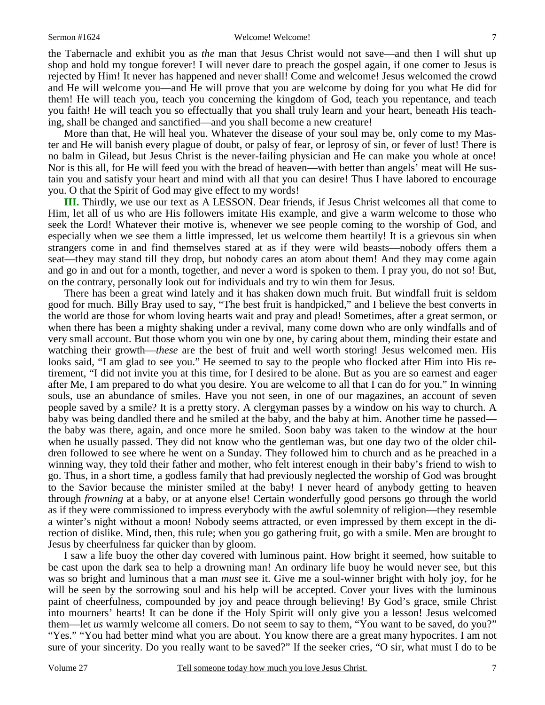the Tabernacle and exhibit you as *the* man that Jesus Christ would not save—and then I will shut up shop and hold my tongue forever! I will never dare to preach the gospel again, if one comer to Jesus is rejected by Him! It never has happened and never shall! Come and welcome! Jesus welcomed the crowd and He will welcome you—and He will prove that you are welcome by doing for you what He did for them! He will teach you, teach you concerning the kingdom of God, teach you repentance, and teach you faith! He will teach you so effectually that you shall truly learn and your heart, beneath His teaching, shall be changed and sanctified—and you shall become a new creature!

 More than that, He will heal you. Whatever the disease of your soul may be, only come to my Master and He will banish every plague of doubt, or palsy of fear, or leprosy of sin, or fever of lust! There is no balm in Gilead, but Jesus Christ is the never-failing physician and He can make you whole at once! Nor is this all, for He will feed you with the bread of heaven—with better than angels' meat will He sustain you and satisfy your heart and mind with all that you can desire! Thus I have labored to encourage you. O that the Spirit of God may give effect to my words!

**III.** Thirdly, we use our text as A LESSON. Dear friends, if Jesus Christ welcomes all that come to Him, let all of us who are His followers imitate His example, and give a warm welcome to those who seek the Lord! Whatever their motive is, whenever we see people coming to the worship of God, and especially when we see them a little impressed, let us welcome them heartily! It is a grievous sin when strangers come in and find themselves stared at as if they were wild beasts—nobody offers them a seat—they may stand till they drop, but nobody cares an atom about them! And they may come again and go in and out for a month, together, and never a word is spoken to them. I pray you, do not so! But, on the contrary, personally look out for individuals and try to win them for Jesus.

 There has been a great wind lately and it has shaken down much fruit. But windfall fruit is seldom good for much. Billy Bray used to say, "The best fruit is handpicked," and I believe the best converts in the world are those for whom loving hearts wait and pray and plead! Sometimes, after a great sermon, or when there has been a mighty shaking under a revival, many come down who are only windfalls and of very small account. But those whom you win one by one, by caring about them, minding their estate and watching their growth—*these* are the best of fruit and well worth storing! Jesus welcomed men. His looks said, "I am glad to see you." He seemed to say to the people who flocked after Him into His retirement, "I did not invite you at this time, for I desired to be alone. But as you are so earnest and eager after Me, I am prepared to do what you desire. You are welcome to all that I can do for you." In winning souls, use an abundance of smiles. Have you not seen, in one of our magazines, an account of seven people saved by a smile? It is a pretty story. A clergyman passes by a window on his way to church. A baby was being dandled there and he smiled at the baby, and the baby at him. Another time he passed the baby was there, again, and once more he smiled. Soon baby was taken to the window at the hour when he usually passed. They did not know who the gentleman was, but one day two of the older children followed to see where he went on a Sunday. They followed him to church and as he preached in a winning way, they told their father and mother, who felt interest enough in their baby's friend to wish to go. Thus, in a short time, a godless family that had previously neglected the worship of God was brought to the Savior because the minister smiled at the baby! I never heard of anybody getting to heaven through *frowning* at a baby, or at anyone else! Certain wonderfully good persons go through the world as if they were commissioned to impress everybody with the awful solemnity of religion—they resemble a winter's night without a moon! Nobody seems attracted, or even impressed by them except in the direction of dislike. Mind, then, this rule; when you go gathering fruit, go with a smile. Men are brought to Jesus by cheerfulness far quicker than by gloom.

 I saw a life buoy the other day covered with luminous paint. How bright it seemed, how suitable to be cast upon the dark sea to help a drowning man! An ordinary life buoy he would never see, but this was so bright and luminous that a man *must* see it. Give me a soul-winner bright with holy joy, for he will be seen by the sorrowing soul and his help will be accepted. Cover your lives with the luminous paint of cheerfulness, compounded by joy and peace through believing! By God's grace, smile Christ into mourners' hearts! It can be done if the Holy Spirit will only give you a lesson! Jesus welcomed them—let *us* warmly welcome all comers. Do not seem to say to them, "You want to be saved, do you?" "Yes." "You had better mind what you are about. You know there are a great many hypocrites. I am not sure of your sincerity. Do you really want to be saved?" If the seeker cries, "O sir, what must I do to be